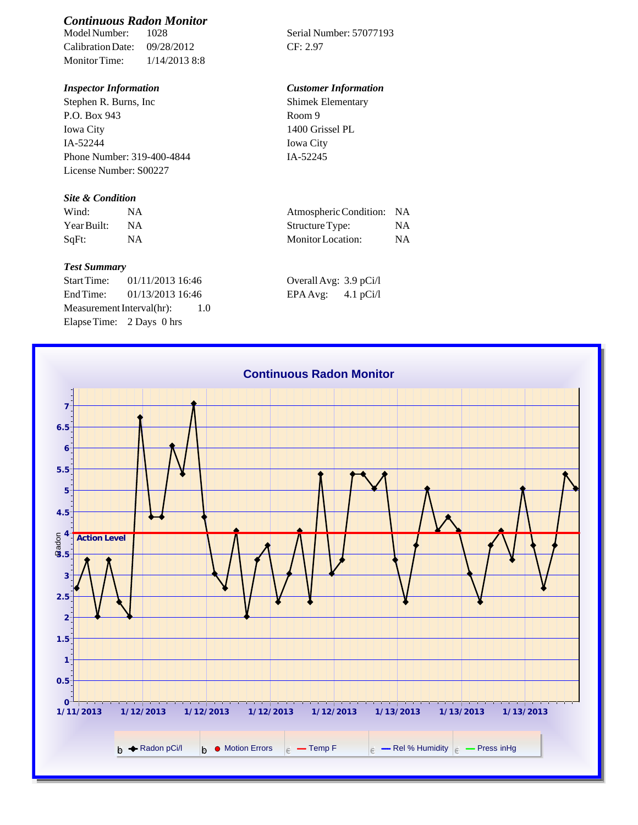# *Continuous Radon Monitor*

Calibration Date: 09/28/2012 CF: 2.97 Monitor Time: 1/14/2013 8:8

Stephen R. Burns, Inc P.O. Box 943 Iowa City IA-52244 Phone Number: 319-400-4844 License Number: S00227

### *Site & Condition*

| Wind:       |           | Atmospheric Condition: NA |    |
|-------------|-----------|---------------------------|----|
| Year Built: | <b>NA</b> | Structure Type:           | NΑ |
| SqFt:       |           | Monitor Location:         | ΝA |

#### *Test Summary*

Start Time: 01/11/2013 16:46 End Time:  $01/13/2013$  16:46 Measurement Interval(hr): 1.0 Elapse Time: 2 Days 0 hrs

Serial Number: 57077193

### *Inspector Information Customer Information*

Shimek Elementary Room 9 1400 Grissel PL Iowa City IA-52245

| Atmospheric Condition: NA |     |
|---------------------------|-----|
| Structure Type:           | NA. |
| <b>Monitor</b> Location:  | NA  |

| Overall Avg: 3.9 pCi/l |             |
|------------------------|-------------|
| EPA Avg:               | 4.1 $pCi/l$ |

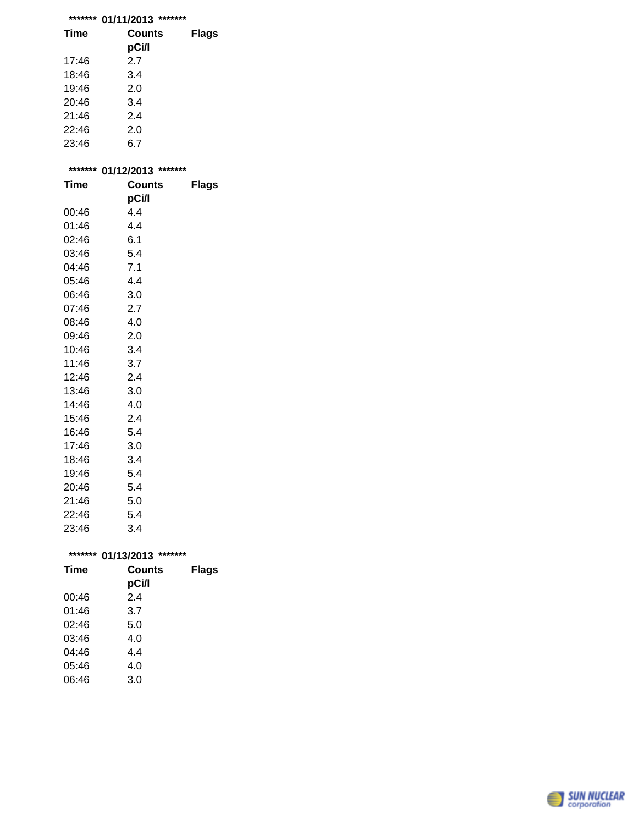## **\*\*\*\*\*\*\* 01/11/2013 \*\*\*\*\*\*\***

| Time  | Counts<br>pCi/l | <b>Flags</b> |
|-------|-----------------|--------------|
| 17:46 | 2.7             |              |
| 18:46 | 3.4             |              |
| 19:46 | 2.0             |              |
| 20:46 | 3.4             |              |
| 21:46 | 2.4             |              |
| 22:46 | 2.0             |              |
| 23:46 | 6.7             |              |

| ******* | 01/12/2013    | ******* |
|---------|---------------|---------|
| Time    | <b>Counts</b> | Flags   |
|         | pCi/l         |         |
| 00:46   | 4.4           |         |
| 01:46   | 4.4           |         |
| 02:46   | 6.1           |         |
| 03:46   | 5.4           |         |
| 04:46   | 7.1           |         |
| 05:46   | 4.4           |         |
| 06:46   | 3.0           |         |
| 07:46   | 2.7           |         |
| 08:46   | 4.0           |         |
| 09:46   | 2.0           |         |
| 10:46   | 3.4           |         |
| 11:46   | 3.7           |         |
| 12:46   | 2.4           |         |
| 13:46   | 3.0           |         |
| 14:46   | 4.0           |         |
| 15:46   | 2.4           |         |
| 16:46   | 5.4           |         |
| 17:46   | 3.0           |         |
| 18:46   | 3.4           |         |
| 19:46   | 5.4           |         |
| 20:46   | 5.4           |         |
| 21:46   | 5.0           |         |
| 22:46   | 5.4           |         |
| 23:46   | 3.4           |         |
|         |               |         |

| ******* | *******<br>01/13/2013 |              |
|---------|-----------------------|--------------|
| Time    | Counts                | <b>Flags</b> |
|         | pCi/l                 |              |
| 00:46   | 2.4                   |              |
| 01:46   | 3.7                   |              |
| 02:46   | 5.0                   |              |
| 03:46   | 4.0                   |              |
| 04:46   | 4.4                   |              |
| 05:46   | 4.0                   |              |
| 06:46   | 3.0                   |              |